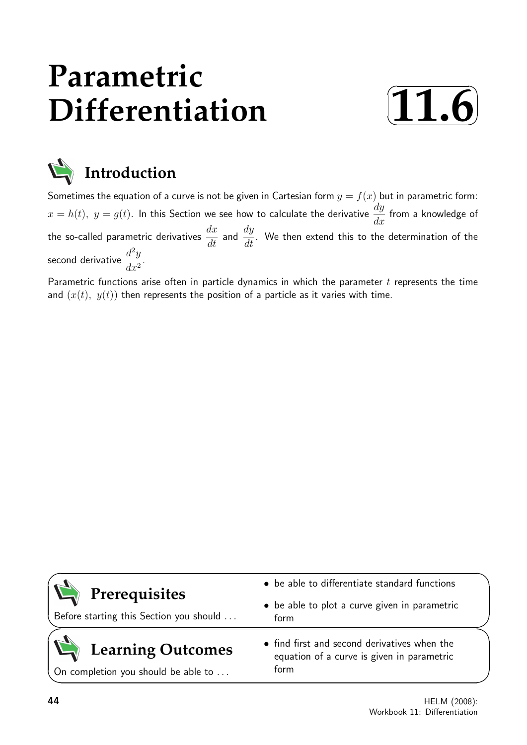# **Parametric Differentiation**





**Introduction**

Sometimes the equation of a curve is not be given in Cartesian form  $y = f(x)$  but in parametric form:  $x=h(t),\,\,y=g(t).$  In this Section we see how to calculate the derivative  $\frac{dy}{dt}$  $\frac{dy}{dx}$  from a knowledge of the so-called parametric derivatives  $\frac{dx}{dt}$  and  $\frac{dy}{dt}$ . We then extend this to the determination of the second derivative  $\frac{d^2y}{dx^2}$  $\frac{d}{dx^2}$ 

Parametric functions arise often in particle dynamics in which the parameter  $t$  represents the time and  $(x(t), y(t))$  then represents the position of a particle as it varies with time.

| Prerequisites<br>Before starting this Section you should        | • be able to differentiate standard functions<br>• be able to plot a curve given in parametric<br>form |  |
|-----------------------------------------------------------------|--------------------------------------------------------------------------------------------------------|--|
| <b>Learning Outcomes</b><br>On completion you should be able to | • find first and second derivatives when the<br>equation of a curve is given in parametric<br>form     |  |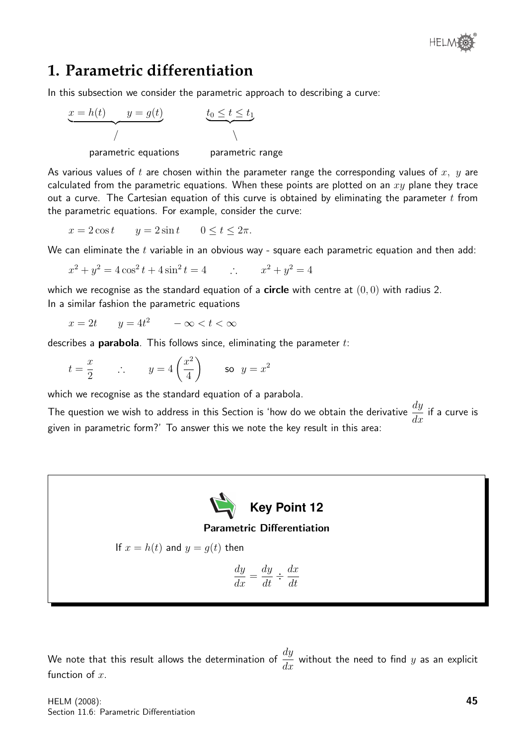

# **1. Parametric differentiation**

In this subsection we consider the parametric approach to describing a curve:



parametric equations parametric range

As various values of t are chosen within the parameter range the corresponding values of  $x, y$  are calculated from the parametric equations. When these points are plotted on an  $xy$  plane they trace out a curve. The Cartesian equation of this curve is obtained by eliminating the parameter  $t$  from the parametric equations. For example, consider the curve:

 $x = 2 \cos t$   $y = 2 \sin t$   $0 \le t \le 2\pi$ .

We can eliminate the  $t$  variable in an obvious way - square each parametric equation and then add:

$$
x^{2} + y^{2} = 4\cos^{2} t + 4\sin^{2} t = 4 \qquad \therefore \qquad x^{2} + y^{2} = 4
$$

which we recognise as the standard equation of a **circle** with centre at  $(0, 0)$  with radius 2. In a similar fashion the parametric equations

 $x = 2t$   $y = 4t^2$   $-\infty < t < \infty$ 

describes a **parabola**. This follows since, eliminating the parameter  $t$ :

$$
t = \frac{x}{2}
$$
  $\therefore$   $y = 4\left(\frac{x^2}{4}\right)$  so  $y = x^2$ 

which we recognise as the standard equation of a parabola.

The question we wish to address in this Section is 'how do we obtain the derivative  $\frac{dy}{dt}$  $\frac{dy}{dx}$  if a curve is given in parametric form?' To answer this we note the key result in this area:



Parametric Differentiation

If 
$$
x = h(t)
$$
 and  $y = g(t)$  then

$$
\frac{dy}{dx} = \frac{dy}{dt} \div \frac{dx}{dt}
$$

We note that this result allows the determination of  $\frac{dy}{dx}$  $\frac{dy}{dx}$  without the need to find  $y$  as an explicit function of  $x$ .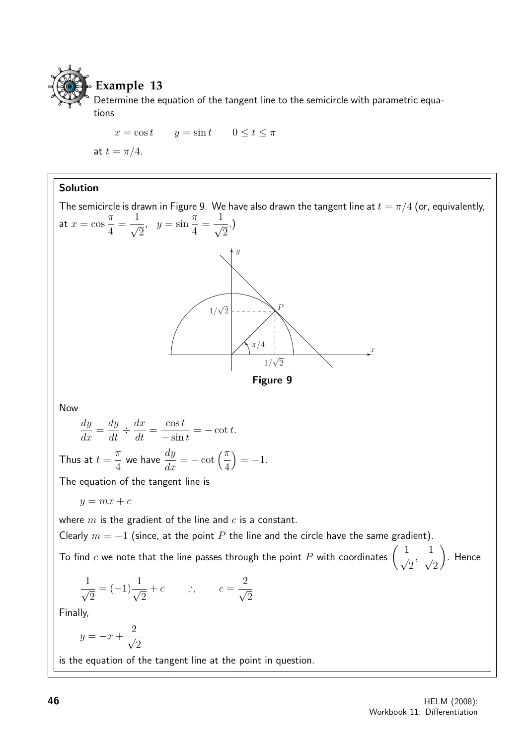

## **Example 13**

Determine the equation of the tangent line to the semicircle with parametric equations

 $x = \cos t$   $y = \sin t$   $0 \le t \le \pi$ at  $t = \pi/4$ .

## Solution

The semicircle is drawn in Figure 9. We have also drawn the tangent line at  $t = \pi/4$  (or, equivalently, at  $x = \cos$ π 4 =  $\frac{1}{\sqrt{2}}$ 2  $, y = \sin$  $\pi$ 4 =  $\frac{1}{\sqrt{2}}$ 2 .)  $1/\sqrt{2}$  $\pi/4$   $\pi$   $\pi$  $\hat{y}$ P  $\frac{1}{\sqrt{2}}$ Figure 9 Now dy  $\frac{dy}{dx} =$  $\frac{dy}{dt} \div \frac{dx}{dt}$  $\frac{d\mathbf{x}}{dt} =$  $\cos t$  $-\sin t$  $= - \cot t.$ Thus at  $t =$ π 4 we have  $\displaystyle{\frac{dy}{dx}=-\cot\left(\frac{\pi}{4}\right)}$  $= -1.$ The equation of the tangent line is  $y = mx + c$ where  $m$  is the gradient of the line and  $c$  is a constant. Clearly  $m = -1$  (since, at the point P the line and the circle have the same gradient). To find  $c$  we note that the line passes through the point  $P$  with coordinates  $\Big(\frac{1}{\sqrt{2}}\Big)^2$  $\overline{2}$ ,  $\frac{1}{\sqrt{2}}$  $\overline{2}$  $\setminus$ . Hence  $\frac{1}{\sqrt{2}}$ 2  $= (-1)^{\frac{1}{\alpha}}$ 2  $+c$  ∴  $c = \frac{2}{4}$ 2 Finally,  $y = -x + \frac{2}{x}$ 2 is the equation of the tangent line at the point in question.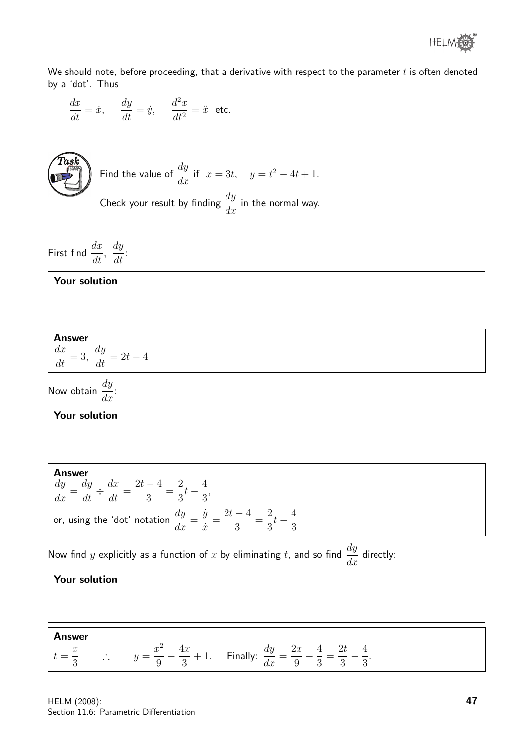

We should note, before proceeding, that a derivative with respect to the parameter  $t$  is often denoted by a 'dot'. Thus

$$
\frac{dx}{dt} = \dot{x}, \quad \frac{dy}{dt} = \dot{y}, \quad \frac{d^2x}{dt^2} = \ddot{x} \text{ etc.}
$$



Find the value of 
$$
\frac{dy}{dx}
$$
 if  $x = 3t$ ,  $y = t^2 - 4t + 1$ .

Check your result by finding  $\frac{dy}{dx}$  $\frac{dy}{dx}$  in the normal way.

First find  $\frac{dx}{dt}$  $\frac{d}{dt},$ dy  $\frac{dy}{dt}$ :

#### Your solution

#### Answer

 $dx$  $\frac{d\mathbf{x}}{dt} = 3,$  $\frac{dy}{dt} = 2t - 4$ 

Now obtain  $\frac{dy}{dx}$  $\frac{dy}{dx}$ :

## Your solution

Answer dy  $\frac{dy}{dx} =$  $\frac{dy}{dt} \div \frac{dx}{dt}$  $\frac{d\mathbf{x}}{dt} =$  $2t-4$ 3 = 2 3  $t-\frac{4}{2}$ 3 , or, using the 'dot' notation  $\frac{dy}{dx}$  $\frac{dy}{dx} =$  $\dot{y}$  $\dot{x}$ =  $2t-4$ 3 = 2 3  $t-\frac{4}{5}$ 3

Now find y explicitly as a function of x by eliminating t, and so find  $\frac{dy}{dx}$  $\frac{dy}{dx}$  directly:

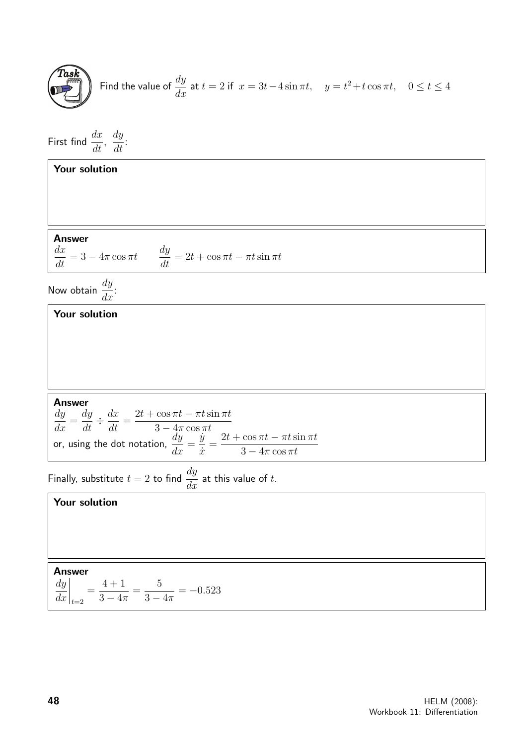**Task**  
Find the value of 
$$
\frac{dy}{dx}
$$
 at  $t = 2$  if  $x = 3t - 4\sin \pi t$ ,  $y = t^2 + t\cos \pi t$ ,  $0 \le t \le 4$ 

First find  $\frac{dx}{dt}$  $\frac{d}{dt},$ dy  $\frac{dy}{dt}$ :

| <b>Answer</b><br>$\frac{dx}{dt} = 3 - 4\pi \cos \pi t \qquad \frac{dy}{dt} = 2t + \cos \pi t - \pi t \sin \pi t$                                                                                                                                                               |
|--------------------------------------------------------------------------------------------------------------------------------------------------------------------------------------------------------------------------------------------------------------------------------|
| Now obtain $\frac{dy}{dx}$ :                                                                                                                                                                                                                                                   |
| Your solution                                                                                                                                                                                                                                                                  |
|                                                                                                                                                                                                                                                                                |
| <b>Answer</b><br>$\frac{dy}{dx} = \frac{dy}{dt} \div \frac{dx}{dt} = \frac{2t + \cos \pi t - \pi t \sin \pi t}{3 - 4\pi \cos \pi t}$<br>or, using the dot notation, $\frac{dy}{dx} = \frac{\dot{y}}{\dot{x}} = \frac{2t + \cos \pi t - \pi t \sin \pi t}{3 - 4\pi \cos \pi t}$ |

Finally, substitute  $t = 2$  to find  $\frac{dy}{dt}$  $\frac{dy}{dx}$  at this value of t.

## Your solution

## Answer

dy  $dx$  $\Big|_{t=2}$ =  $4 + 1$  $3-4\pi$ = 5  $3-4\pi$  $=-0.523$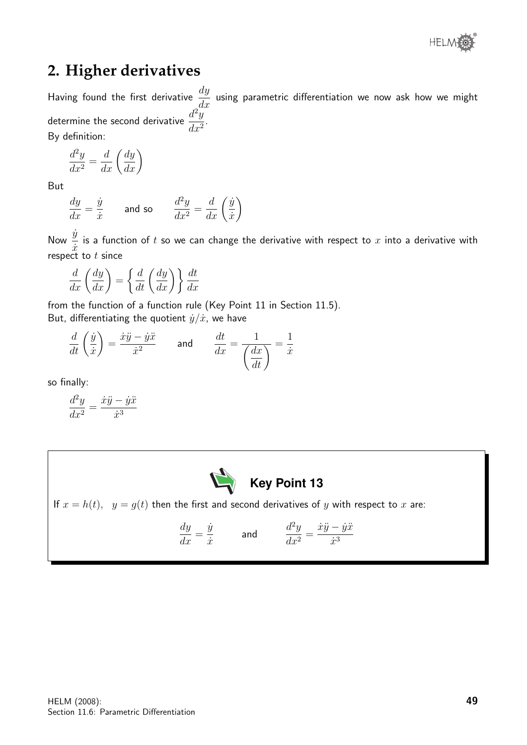

# **2. Higher derivatives**

Having found the first derivative  $\frac{dy}{dx}$  $\frac{dy}{dx}$  using parametric differentiation we now ask how we might determine the second derivative  $\frac{d^2y}{dx^2}$  $\frac{d}{dx^2}$ By definition:

 $d^2y$  $\frac{d^2y}{dx^2} =$  $rac{d}{dx}\left(\frac{dy}{dx}\right)$ 

But

$$
\frac{dy}{dx} = \frac{\dot{y}}{\dot{x}}
$$
 and so 
$$
\frac{d^2y}{dx^2} = \frac{d}{dx}\left(\frac{\dot{y}}{\dot{x}}\right)
$$

Now  $\frac{\dot{y}}{y}$  $\dot{x}$ is a function of  $t$  so we can change the derivative with respect to  $x$  into a derivative with respect to  $t$  since

$$
\frac{d}{dx}\left(\frac{dy}{dx}\right) = \left\{\frac{d}{dt}\left(\frac{dy}{dx}\right)\right\}\frac{dt}{dx}
$$

from the function of a function rule (Key Point 11 in Section 11.5). But, differentiating the quotient  $\dot{y}/\dot{x}$ , we have

$$
\frac{d}{dt}\left(\frac{\dot{y}}{\dot{x}}\right) = \frac{\dot{x}\ddot{y} - \dot{y}\ddot{x}}{\dot{x}^2} \quad \text{and} \quad \frac{dt}{dx} = \frac{1}{\left(\frac{dx}{dt}\right)} = \frac{1}{\dot{x}}
$$

so finally:

$$
\frac{d^2y}{dx^2} = \frac{\dot{x}\ddot{y} - \dot{y}\ddot{x}}{\dot{x}^3}
$$